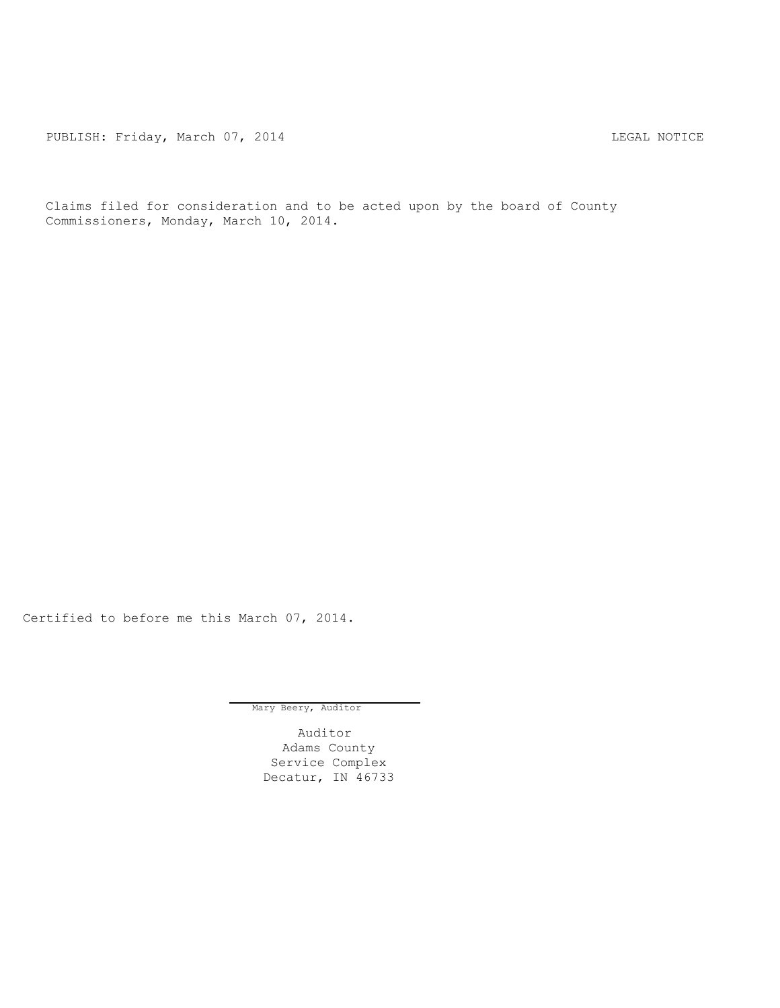PUBLISH: Friday, March 07, 2014 CHA CHANGE CONTROLLY MATCHER AND LEGAL NOTICE

Claims filed for consideration and to be acted upon by the board of County Commissioners, Monday, March 10, 2014.

Certified to before me this March 07, 2014.

Mary Beery, Auditor

Auditor Adams County Service Complex Decatur, IN 46733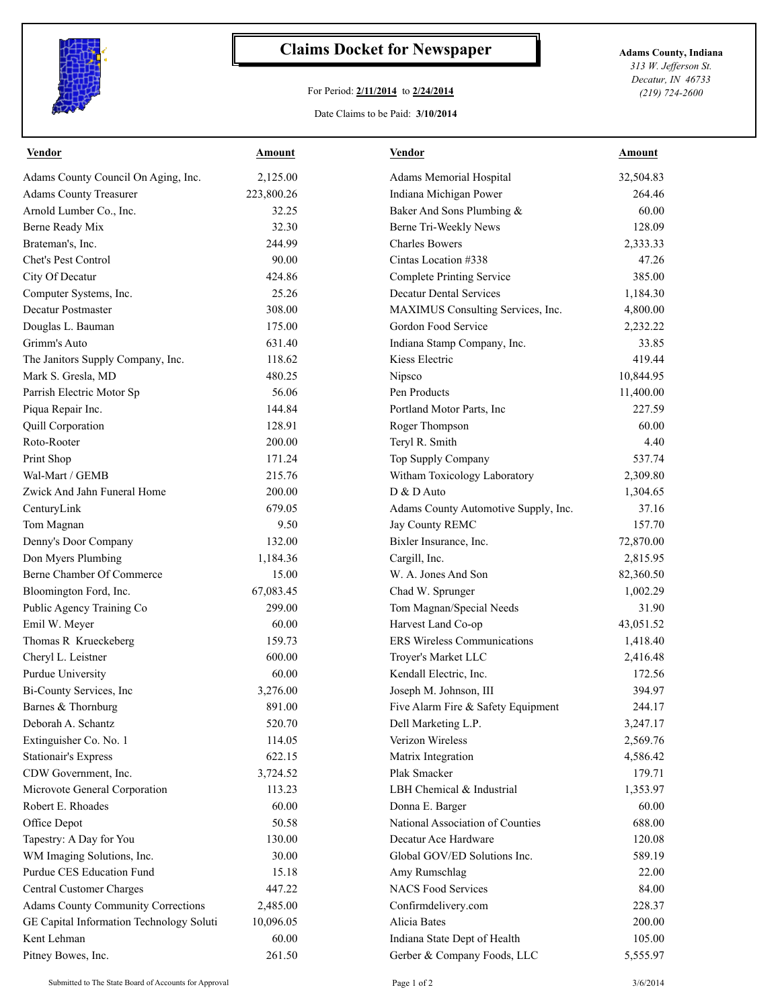

## **Claims Docket for Newspaper Adams County, Indiana**

## For Period: **2/11/2014** to **2/24/2014**

Date Claims to be Paid: **3/10/2014**

*313 W. Jefferson St. Decatur, IN 46733 (219) 724-2600*

| <b>Vendor</b>                             | <b>Amount</b> | <b>Vendor</b>                        | <b>Amount</b> |
|-------------------------------------------|---------------|--------------------------------------|---------------|
| Adams County Council On Aging, Inc.       | 2,125.00      | Adams Memorial Hospital              | 32,504.83     |
| <b>Adams County Treasurer</b>             | 223,800.26    | Indiana Michigan Power               | 264.46        |
| Arnold Lumber Co., Inc.                   | 32.25         | Baker And Sons Plumbing &            | 60.00         |
| Berne Ready Mix                           | 32.30         | Berne Tri-Weekly News                | 128.09        |
| Brateman's, Inc.                          | 244.99        | <b>Charles Bowers</b>                | 2,333.33      |
| Chet's Pest Control                       | 90.00         | Cintas Location #338                 | 47.26         |
| City Of Decatur                           | 424.86        | <b>Complete Printing Service</b>     | 385.00        |
| Computer Systems, Inc.                    | 25.26         | <b>Decatur Dental Services</b>       | 1,184.30      |
| Decatur Postmaster                        | 308.00        | MAXIMUS Consulting Services, Inc.    | 4,800.00      |
| Douglas L. Bauman                         | 175.00        | Gordon Food Service                  | 2,232.22      |
| Grimm's Auto                              | 631.40        | Indiana Stamp Company, Inc.          | 33.85         |
| The Janitors Supply Company, Inc.         | 118.62        | Kiess Electric                       | 419.44        |
| Mark S. Gresla, MD                        | 480.25        | Nipsco                               | 10,844.95     |
| Parrish Electric Motor Sp                 | 56.06         | Pen Products                         | 11,400.00     |
| Piqua Repair Inc.                         | 144.84        | Portland Motor Parts, Inc.           | 227.59        |
| Quill Corporation                         | 128.91        | Roger Thompson                       | 60.00         |
| Roto-Rooter                               | 200.00        | Teryl R. Smith                       | 4.40          |
| Print Shop                                | 171.24        | Top Supply Company                   | 537.74        |
| Wal-Mart / GEMB                           | 215.76        | Witham Toxicology Laboratory         | 2,309.80      |
| Zwick And Jahn Funeral Home               | 200.00        | D & D Auto                           | 1,304.65      |
| CenturyLink                               | 679.05        | Adams County Automotive Supply, Inc. | 37.16         |
| Tom Magnan                                | 9.50          | Jay County REMC                      | 157.70        |
| Denny's Door Company                      | 132.00        | Bixler Insurance, Inc.               | 72,870.00     |
| Don Myers Plumbing                        | 1,184.36      | Cargill, Inc.                        | 2,815.95      |
| Berne Chamber Of Commerce                 | 15.00         | W. A. Jones And Son                  | 82,360.50     |
| Bloomington Ford, Inc.                    | 67,083.45     | Chad W. Sprunger                     | 1,002.29      |
| Public Agency Training Co                 | 299.00        | Tom Magnan/Special Needs             | 31.90         |
| Emil W. Meyer                             | 60.00         | Harvest Land Co-op                   | 43,051.52     |
| Thomas R Krueckeberg                      | 159.73        | <b>ERS Wireless Communications</b>   | 1,418.40      |
| Cheryl L. Leistner                        | 600.00        | Troyer's Market LLC                  | 2,416.48      |
| Purdue University                         | 60.00         | Kendall Electric, Inc.               | 172.56        |
| Bi-County Services, Inc                   | 3,276.00      | Joseph M. Johnson, III               | 394.97        |
| Barnes & Thornburg                        | 891.00        | Five Alarm Fire & Safety Equipment   | 244.17        |
| Deborah A. Schantz                        | 520.70        | Dell Marketing L.P.                  | 3,247.17      |
| Extinguisher Co. No. 1                    | 114.05        | Verizon Wireless                     | 2,569.76      |
| Stationair's Express                      | 622.15        | Matrix Integration                   | 4,586.42      |
| CDW Government, Inc.                      | 3,724.52      | Plak Smacker                         | 179.71        |
| Microvote General Corporation             | 113.23        | LBH Chemical & Industrial            | 1,353.97      |
| Robert E. Rhoades                         | 60.00         | Donna E. Barger                      | 60.00         |
| Office Depot                              | 50.58         | National Association of Counties     | 688.00        |
| Tapestry: A Day for You                   | 130.00        | Decatur Ace Hardware                 | 120.08        |
| WM Imaging Solutions, Inc.                | 30.00         | Global GOV/ED Solutions Inc.         | 589.19        |
| Purdue CES Education Fund                 | 15.18         | Amy Rumschlag                        | 22.00         |
| Central Customer Charges                  | 447.22        | <b>NACS Food Services</b>            | 84.00         |
| <b>Adams County Community Corrections</b> | 2,485.00      | Confirmdelivery.com                  | 228.37        |
| GE Capital Information Technology Soluti  | 10,096.05     | Alicia Bates                         | 200.00        |
| Kent Lehman                               | 60.00         | Indiana State Dept of Health         | 105.00        |
| Pitney Bowes, Inc.                        | 261.50        | Gerber & Company Foods, LLC          | 5,555.97      |
|                                           |               |                                      |               |